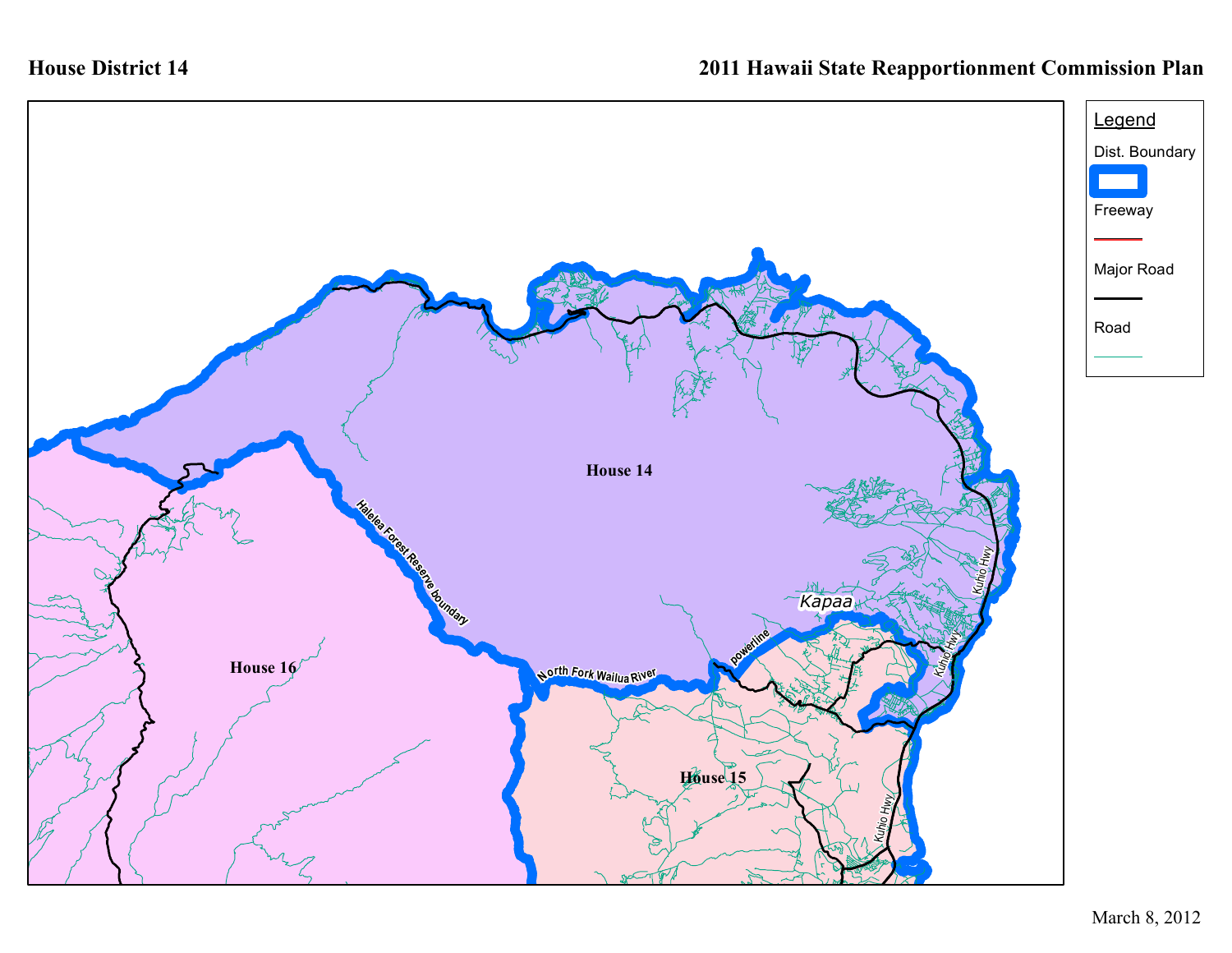